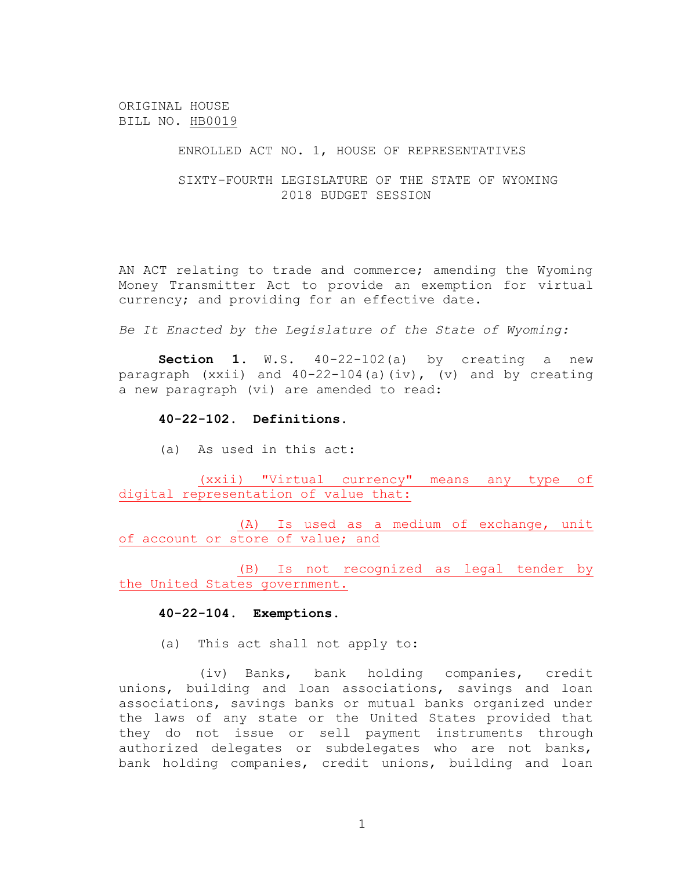ORIGINAL HOUSE BILL NO. HB0019

ENROLLED ACT NO. 1, HOUSE OF REPRESENTATIVES

SIXTY-FOURTH LEGISLATURE OF THE STATE OF WYOMING 2018 BUDGET SESSION

AN ACT relating to trade and commerce; amending the Wyoming Money Transmitter Act to provide an exemption for virtual currency; and providing for an effective date.

*Be It Enacted by the Legislature of the State of Wyoming:*

**Section 1.** W.S. 40-22-102(a) by creating a new paragraph (xxii) and 40-22-104(a)(iv), (v) and by creating a new paragraph (vi) are amended to read:

## **40-22-102. Definitions.**

(a) As used in this act:

(xxii) "Virtual currency" means any type of digital representation of value that:

(A) Is used as a medium of exchange, unit of account or store of value; and

(B) Is not recognized as legal tender by the United States government.

## **40-22-104. Exemptions.**

(a) This act shall not apply to:

(iv) Banks, bank holding companies, credit unions, building and loan associations, savings and loan associations, savings banks or mutual banks organized under the laws of any state or the United States provided that they do not issue or sell payment instruments through authorized delegates or subdelegates who are not banks, bank holding companies, credit unions, building and loan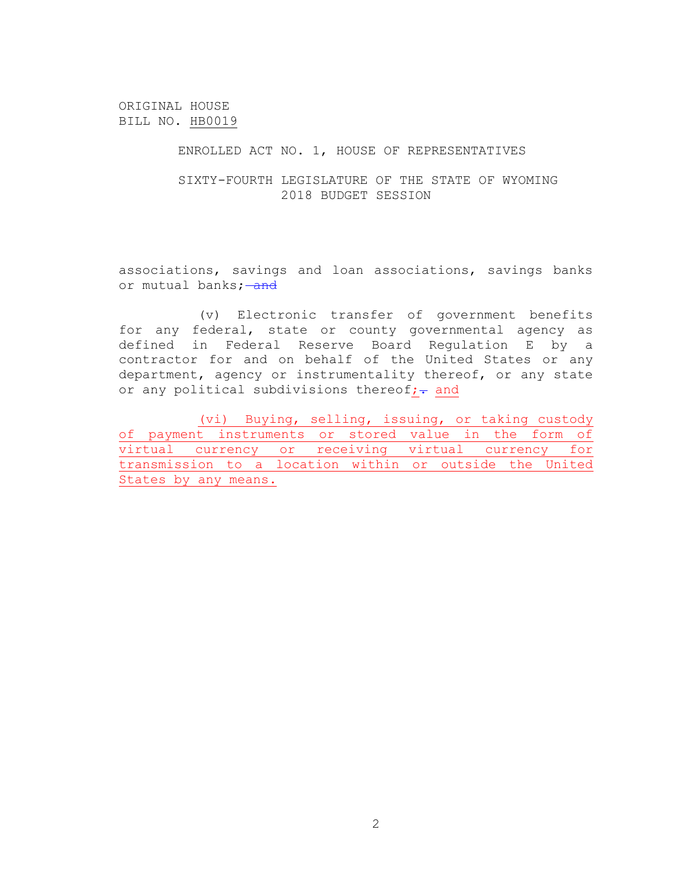ORIGINAL HOUSE BILL NO. HB0019

ENROLLED ACT NO. 1, HOUSE OF REPRESENTATIVES

SIXTY-FOURTH LEGISLATURE OF THE STATE OF WYOMING 2018 BUDGET SESSION

associations, savings and loan associations, savings banks or mutual banks; and

(v) Electronic transfer of government benefits for any federal, state or county governmental agency as defined in Federal Reserve Board Regulation E by a contractor for and on behalf of the United States or any department, agency or instrumentality thereof, or any state or any political subdivisions thereof; + and

(vi) Buying, selling, issuing, or taking custody of payment instruments or stored value in the form of virtual currency or receiving virtual currency for transmission to a location within or outside the United States by any means.